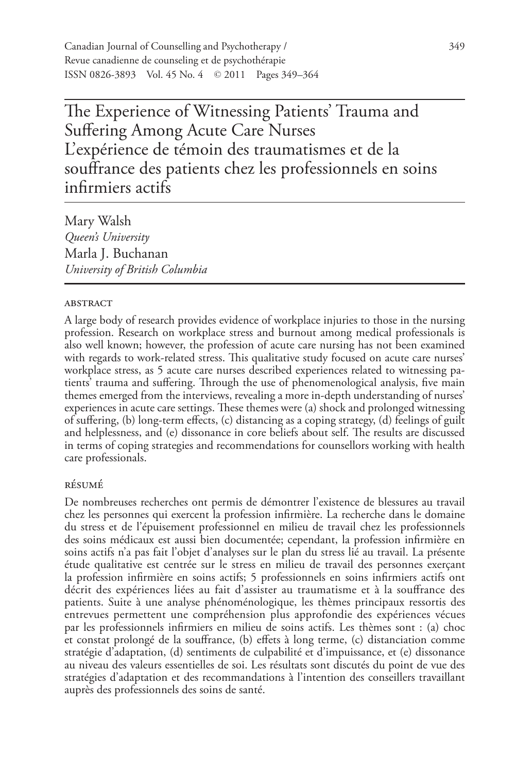Canadian Journal of Counselling and Psychotherapy / 349 Revue canadienne de counseling et de psychothérapie ISSN 0826-3893 Vol. 45 No. 4 © 2011 Pages 349–364

The Experience of Witnessing Patients' Trauma and Suffering Among Acute Care Nurses L'expérience de témoin des traumatismes et de la souffrance des patients chez les professionnels en soins infirmiers actifs

Mary Walsh *Queen's University* Marla J. Buchanan *University of British Columbia*

### **ABSTRACT**

A large body of research provides evidence of workplace injuries to those in the nursing profession. Research on workplace stress and burnout among medical professionals is also well known; however, the profession of acute care nursing has not been examined with regards to work-related stress. This qualitative study focused on acute care nurses' workplace stress, as 5 acute care nurses described experiences related to witnessing patients' trauma and suffering. Through the use of phenomenological analysis, five main themes emerged from the interviews, revealing a more in-depth understanding of nurses' experiences in acute care settings. These themes were (a) shock and prolonged witnessing of suffering, (b) long-term effects, (c) distancing as a coping strategy, (d) feelings of guilt and helplessness, and (e) dissonance in core beliefs about self. The results are discussed in terms of coping strategies and recommendations for counsellors working with health care professionals.

### résumé

De nombreuses recherches ont permis de démontrer l'existence de blessures au travail chez les personnes qui exercent la profession infirmière. La recherche dans le domaine du stress et de l'épuisement professionnel en milieu de travail chez les professionnels des soins médicaux est aussi bien documentée; cependant, la profession infirmière en soins actifs n'a pas fait l'objet d'analyses sur le plan du stress lié au travail. La présente étude qualitative est centrée sur le stress en milieu de travail des personnes exerçant la profession infirmière en soins actifs; 5 professionnels en soins infirmiers actifs ont décrit des expériences liées au fait d'assister au traumatisme et à la souffrance des patients. Suite à une analyse phénoménologique, les thèmes principaux ressortis des entrevues permettent une compréhension plus approfondie des expériences vécues par les professionnels infirmiers en milieu de soins actifs. Les thèmes sont : (a) choc et constat prolongé de la souffrance, (b) effets à long terme, (c) distanciation comme stratégie d'adaptation, (d) sentiments de culpabilité et d'impuissance, et (e) dissonance au niveau des valeurs essentielles de soi. Les résultats sont discutés du point de vue des stratégies d'adaptation et des recommandations à l'intention des conseillers travaillant auprès des professionnels des soins de santé.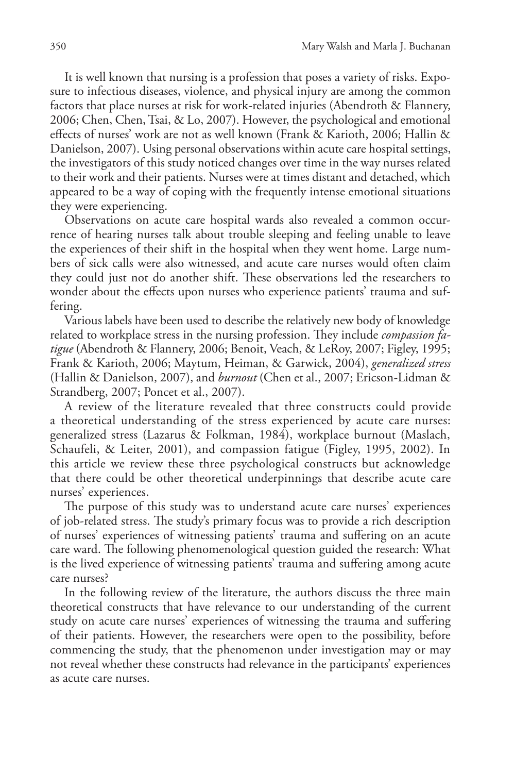It is well known that nursing is a profession that poses a variety of risks. Exposure to infectious diseases, violence, and physical injury are among the common factors that place nurses at risk for work-related injuries (Abendroth & Flannery, 2006; Chen, Chen, Tsai, & Lo, 2007). However, the psychological and emotional effects of nurses' work are not as well known (Frank & Karioth, 2006; Hallin & Danielson, 2007). Using personal observations within acute care hospital settings, the investigators of this study noticed changes over time in the way nurses related to their work and their patients. Nurses were at times distant and detached, which appeared to be a way of coping with the frequently intense emotional situations they were experiencing.

Observations on acute care hospital wards also revealed a common occurrence of hearing nurses talk about trouble sleeping and feeling unable to leave the experiences of their shift in the hospital when they went home. Large numbers of sick calls were also witnessed, and acute care nurses would often claim they could just not do another shift. These observations led the researchers to wonder about the effects upon nurses who experience patients' trauma and suffering.

Various labels have been used to describe the relatively new body of knowledge related to workplace stress in the nursing profession. They include *compassion fatigue* (Abendroth & Flannery, 2006; Benoit, Veach, & LeRoy, 2007; Figley, 1995; Frank & Karioth, 2006; Maytum, Heiman, & Garwick, 2004), *generalized stress* (Hallin & Danielson, 2007), and *burnout* (Chen et al., 2007; Ericson-Lidman & Strandberg, 2007; Poncet et al., 2007).

A review of the literature revealed that three constructs could provide a theoretical understanding of the stress experienced by acute care nurses: generalized stress (Lazarus & Folkman, 1984), workplace burnout (Maslach, Schaufeli, & Leiter, 2001), and compassion fatigue (Figley, 1995, 2002). In this article we review these three psychological constructs but acknowledge that there could be other theoretical underpinnings that describe acute care nurses' experiences.

The purpose of this study was to understand acute care nurses' experiences of job-related stress. The study's primary focus was to provide a rich description of nurses' experiences of witnessing patients' trauma and suffering on an acute care ward. The following phenomenological question guided the research: What is the lived experience of witnessing patients' trauma and suffering among acute care nurses?

In the following review of the literature, the authors discuss the three main theoretical constructs that have relevance to our understanding of the current study on acute care nurses' experiences of witnessing the trauma and suffering of their patients. However, the researchers were open to the possibility, before commencing the study, that the phenomenon under investigation may or may not reveal whether these constructs had relevance in the participants' experiences as acute care nurses.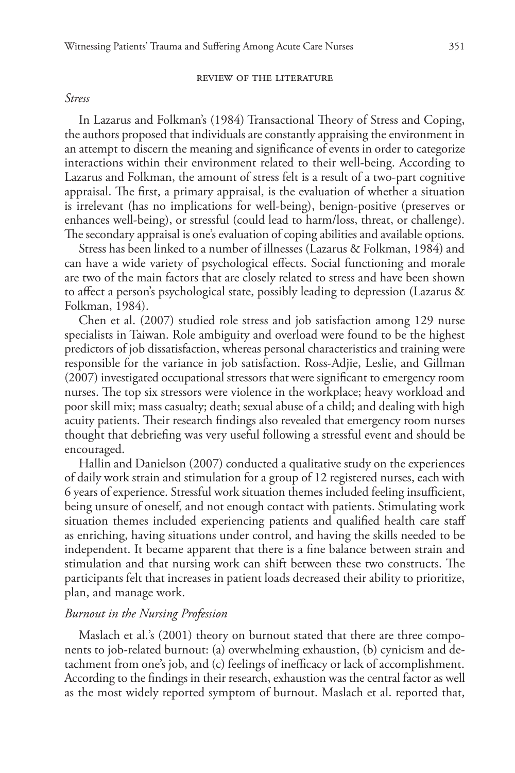### review of the literature

### *Stress*

In Lazarus and Folkman's (1984) Transactional Theory of Stress and Coping, the authors proposed that individuals are constantly appraising the environment in an attempt to discern the meaning and significance of events in order to categorize interactions within their environment related to their well-being. According to Lazarus and Folkman, the amount of stress felt is a result of a two-part cognitive appraisal. The first, a primary appraisal, is the evaluation of whether a situation is irrelevant (has no implications for well-being), benign-positive (preserves or enhances well-being), or stressful (could lead to harm/loss, threat, or challenge). The secondary appraisal is one's evaluation of coping abilities and available options.

Stress has been linked to a number of illnesses (Lazarus & Folkman, 1984) and can have a wide variety of psychological effects. Social functioning and morale are two of the main factors that are closely related to stress and have been shown to affect a person's psychological state, possibly leading to depression (Lazarus & Folkman, 1984).

Chen et al. (2007) studied role stress and job satisfaction among 129 nurse specialists in Taiwan. Role ambiguity and overload were found to be the highest predictors of job dissatisfaction, whereas personal characteristics and training were responsible for the variance in job satisfaction. Ross-Adjie, Leslie, and Gillman (2007) investigated occupational stressors that were significant to emergency room nurses. The top six stressors were violence in the workplace; heavy workload and poor skill mix; mass casualty; death; sexual abuse of a child; and dealing with high acuity patients. Their research findings also revealed that emergency room nurses thought that debriefing was very useful following a stressful event and should be encouraged.

Hallin and Danielson (2007) conducted a qualitative study on the experiences of daily work strain and stimulation for a group of 12 registered nurses, each with 6 years of experience. Stressful work situation themes included feeling insufficient, being unsure of oneself, and not enough contact with patients. Stimulating work situation themes included experiencing patients and qualified health care staff as enriching, having situations under control, and having the skills needed to be independent. It became apparent that there is a fine balance between strain and stimulation and that nursing work can shift between these two constructs. The participants felt that increases in patient loads decreased their ability to prioritize, plan, and manage work.

## *Burnout in the Nursing Profession*

Maslach et al.'s (2001) theory on burnout stated that there are three components to job-related burnout: (a) overwhelming exhaustion, (b) cynicism and detachment from one's job, and (c) feelings of inefficacy or lack of accomplishment. According to the findings in their research, exhaustion was the central factor as well as the most widely reported symptom of burnout. Maslach et al. reported that,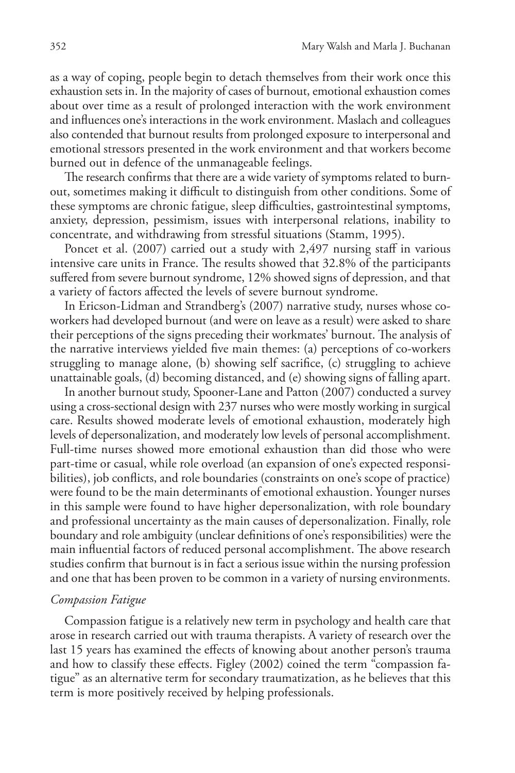as a way of coping, people begin to detach themselves from their work once this exhaustion sets in. In the majority of cases of burnout, emotional exhaustion comes about over time as a result of prolonged interaction with the work environment and influences one's interactions in the work environment. Maslach and colleagues also contended that burnout results from prolonged exposure to interpersonal and emotional stressors presented in the work environment and that workers become burned out in defence of the unmanageable feelings.

The research confirms that there are a wide variety of symptoms related to burnout, sometimes making it difficult to distinguish from other conditions. Some of these symptoms are chronic fatigue, sleep difficulties, gastrointestinal symptoms, anxiety, depression, pessimism, issues with interpersonal relations, inability to concentrate, and withdrawing from stressful situations (Stamm, 1995).

Poncet et al. (2007) carried out a study with 2,497 nursing staff in various intensive care units in France. The results showed that 32.8% of the participants suffered from severe burnout syndrome, 12% showed signs of depression, and that a variety of factors affected the levels of severe burnout syndrome.

In Ericson-Lidman and Strandberg's (2007) narrative study, nurses whose coworkers had developed burnout (and were on leave as a result) were asked to share their perceptions of the signs preceding their workmates' burnout. The analysis of the narrative interviews yielded five main themes: (a) perceptions of co-workers struggling to manage alone, (b) showing self sacrifice, (c) struggling to achieve unattainable goals, (d) becoming distanced, and (e) showing signs of falling apart.

In another burnout study, Spooner-Lane and Patton (2007) conducted a survey using a cross-sectional design with 237 nurses who were mostly working in surgical care. Results showed moderate levels of emotional exhaustion, moderately high levels of depersonalization, and moderately low levels of personal accomplishment. Full-time nurses showed more emotional exhaustion than did those who were part-time or casual, while role overload (an expansion of one's expected responsibilities), job conflicts, and role boundaries (constraints on one's scope of practice) were found to be the main determinants of emotional exhaustion. Younger nurses in this sample were found to have higher depersonalization, with role boundary and professional uncertainty as the main causes of depersonalization. Finally, role boundary and role ambiguity (unclear definitions of one's responsibilities) were the main influential factors of reduced personal accomplishment. The above research studies confirm that burnout is in fact a serious issue within the nursing profession and one that has been proven to be common in a variety of nursing environments.

### *Compassion Fatigue*

Compassion fatigue is a relatively new term in psychology and health care that arose in research carried out with trauma therapists. A variety of research over the last 15 years has examined the effects of knowing about another person's trauma and how to classify these effects. Figley (2002) coined the term "compassion fatigue" as an alternative term for secondary traumatization, as he believes that this term is more positively received by helping professionals.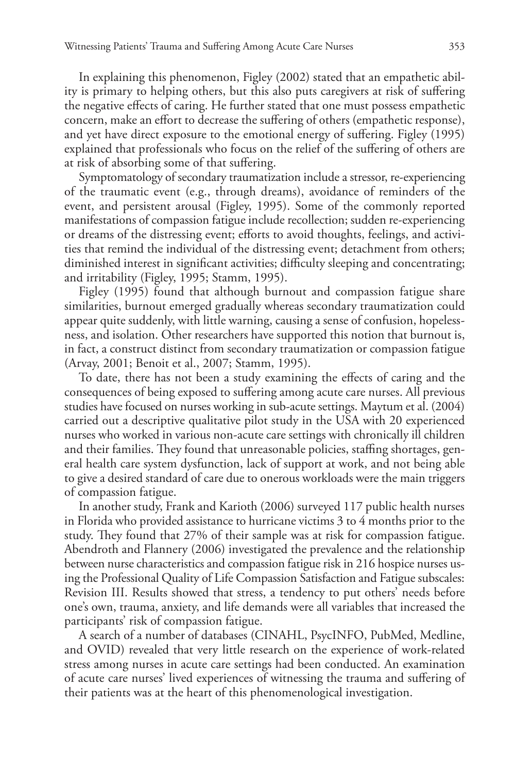In explaining this phenomenon, Figley (2002) stated that an empathetic ability is primary to helping others, but this also puts caregivers at risk of suffering the negative effects of caring. He further stated that one must possess empathetic concern, make an effort to decrease the suffering of others (empathetic response), and yet have direct exposure to the emotional energy of suffering. Figley (1995) explained that professionals who focus on the relief of the suffering of others are at risk of absorbing some of that suffering.

Symptomatology of secondary traumatization include a stressor, re-experiencing of the traumatic event (e.g., through dreams), avoidance of reminders of the event, and persistent arousal (Figley, 1995). Some of the commonly reported manifestations of compassion fatigue include recollection; sudden re-experiencing or dreams of the distressing event; efforts to avoid thoughts, feelings, and activities that remind the individual of the distressing event; detachment from others; diminished interest in significant activities; difficulty sleeping and concentrating; and irritability (Figley, 1995; Stamm, 1995).

Figley (1995) found that although burnout and compassion fatigue share similarities, burnout emerged gradually whereas secondary traumatization could appear quite suddenly, with little warning, causing a sense of confusion, hopelessness, and isolation. Other researchers have supported this notion that burnout is, in fact, a construct distinct from secondary traumatization or compassion fatigue (Arvay, 2001; Benoit et al., 2007; Stamm, 1995).

To date, there has not been a study examining the effects of caring and the consequences of being exposed to suffering among acute care nurses. All previous studies have focused on nurses working in sub-acute settings. Maytum et al. (2004) carried out a descriptive qualitative pilot study in the USA with 20 experienced nurses who worked in various non-acute care settings with chronically ill children and their families. They found that unreasonable policies, staffing shortages, general health care system dysfunction, lack of support at work, and not being able to give a desired standard of care due to onerous workloads were the main triggers of compassion fatigue.

In another study, Frank and Karioth (2006) surveyed 117 public health nurses in Florida who provided assistance to hurricane victims 3 to 4 months prior to the study. They found that 27% of their sample was at risk for compassion fatigue. Abendroth and Flannery (2006) investigated the prevalence and the relationship between nurse characteristics and compassion fatigue risk in 216 hospice nurses using the Professional Quality of Life Compassion Satisfaction and Fatigue subscales: Revision III. Results showed that stress, a tendency to put others' needs before one's own, trauma, anxiety, and life demands were all variables that increased the participants' risk of compassion fatigue.

A search of a number of databases (CINAHL, PsycINFO, PubMed, Medline, and OVID) revealed that very little research on the experience of work-related stress among nurses in acute care settings had been conducted. An examination of acute care nurses' lived experiences of witnessing the trauma and suffering of their patients was at the heart of this phenomenological investigation.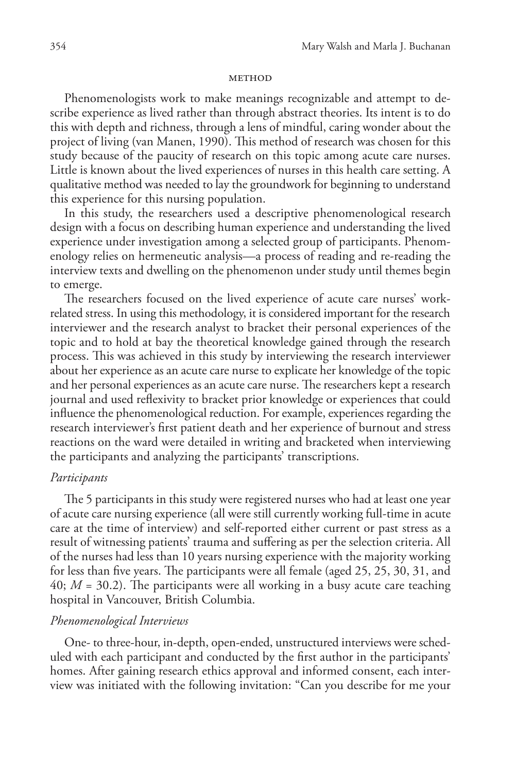### **METHOD**

Phenomenologists work to make meanings recognizable and attempt to describe experience as lived rather than through abstract theories. Its intent is to do this with depth and richness, through a lens of mindful, caring wonder about the project of living (van Manen, 1990). This method of research was chosen for this study because of the paucity of research on this topic among acute care nurses. Little is known about the lived experiences of nurses in this health care setting. A qualitative method was needed to lay the groundwork for beginning to understand this experience for this nursing population.

In this study, the researchers used a descriptive phenomenological research design with a focus on describing human experience and understanding the lived experience under investigation among a selected group of participants. Phenomenology relies on hermeneutic analysis—a process of reading and re-reading the interview texts and dwelling on the phenomenon under study until themes begin to emerge.

The researchers focused on the lived experience of acute care nurses' workrelated stress. In using this methodology, it is considered important for the research interviewer and the research analyst to bracket their personal experiences of the topic and to hold at bay the theoretical knowledge gained through the research process. This was achieved in this study by interviewing the research interviewer about her experience as an acute care nurse to explicate her knowledge of the topic and her personal experiences as an acute care nurse. The researchers kept a research journal and used reflexivity to bracket prior knowledge or experiences that could influence the phenomenological reduction. For example, experiences regarding the research interviewer's first patient death and her experience of burnout and stress reactions on the ward were detailed in writing and bracketed when interviewing the participants and analyzing the participants' transcriptions.

### *Participants*

The 5 participants in this study were registered nurses who had at least one year of acute care nursing experience (all were still currently working full-time in acute care at the time of interview) and self-reported either current or past stress as a result of witnessing patients' trauma and suffering as per the selection criteria. All of the nurses had less than 10 years nursing experience with the majority working for less than five years. The participants were all female (aged 25, 25, 30, 31, and 40; *M* = 30.2). The participants were all working in a busy acute care teaching hospital in Vancouver, British Columbia.

## *Phenomenological Interviews*

One- to three-hour, in-depth, open-ended, unstructured interviews were scheduled with each participant and conducted by the first author in the participants' homes. After gaining research ethics approval and informed consent, each interview was initiated with the following invitation: "Can you describe for me your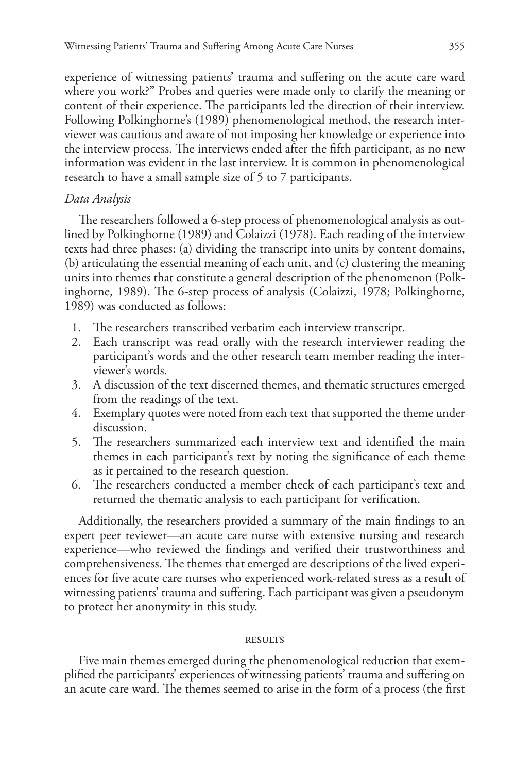experience of witnessing patients' trauma and suffering on the acute care ward where you work?" Probes and queries were made only to clarify the meaning or content of their experience. The participants led the direction of their interview. Following Polkinghorne's (1989) phenomenological method, the research interviewer was cautious and aware of not imposing her knowledge or experience into the interview process. The interviews ended after the fifth participant, as no new information was evident in the last interview. It is common in phenomenological research to have a small sample size of 5 to 7 participants.

# *Data Analysis*

The researchers followed a 6-step process of phenomenological analysis as outlined by Polkinghorne (1989) and Colaizzi (1978). Each reading of the interview texts had three phases: (a) dividing the transcript into units by content domains, (b) articulating the essential meaning of each unit, and (c) clustering the meaning units into themes that constitute a general description of the phenomenon (Polkinghorne, 1989). The 6-step process of analysis (Colaizzi, 1978; Polkinghorne, 1989) was conducted as follows:

- 1. The researchers transcribed verbatim each interview transcript.
- 2. Each transcript was read orally with the research interviewer reading the participant's words and the other research team member reading the interviewer's words.
- 3. A discussion of the text discerned themes, and thematic structures emerged from the readings of the text.
- 4. Exemplary quotes were noted from each text that supported the theme under discussion.
- 5. The researchers summarized each interview text and identified the main themes in each participant's text by noting the significance of each theme as it pertained to the research question.
- 6. The researchers conducted a member check of each participant's text and returned the thematic analysis to each participant for verification.

Additionally, the researchers provided a summary of the main findings to an expert peer reviewer—an acute care nurse with extensive nursing and research experience—who reviewed the findings and verified their trustworthiness and comprehensiveness. The themes that emerged are descriptions of the lived experiences for five acute care nurses who experienced work-related stress as a result of witnessing patients' trauma and suffering. Each participant was given a pseudonym to protect her anonymity in this study.

### **RESULTS**

Five main themes emerged during the phenomenological reduction that exemplified the participants' experiences of witnessing patients' trauma and suffering on an acute care ward. The themes seemed to arise in the form of a process (the first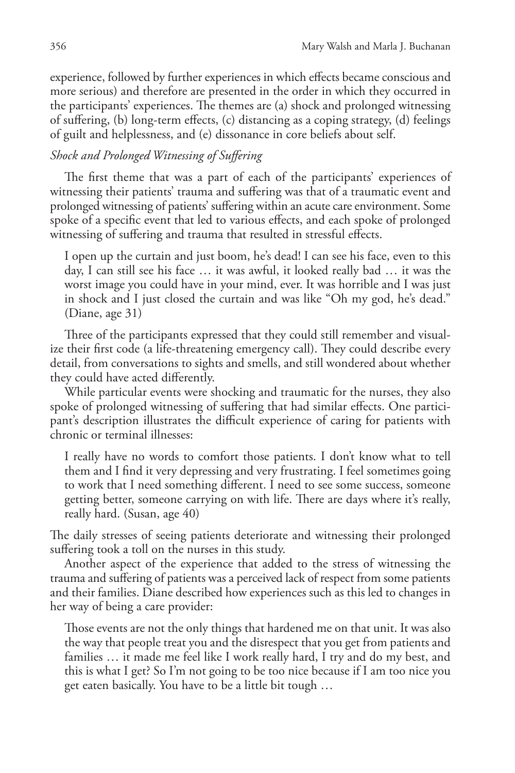experience, followed by further experiences in which effects became conscious and more serious) and therefore are presented in the order in which they occurred in the participants' experiences. The themes are (a) shock and prolonged witnessing of suffering, (b) long-term effects, (c) distancing as a coping strategy, (d) feelings of guilt and helplessness, and (e) dissonance in core beliefs about self.

# *Shock and Prolonged Witnessing of Suffering*

The first theme that was a part of each of the participants' experiences of witnessing their patients' trauma and suffering was that of a traumatic event and prolonged witnessing of patients' suffering within an acute care environment. Some spoke of a specific event that led to various effects, and each spoke of prolonged witnessing of suffering and trauma that resulted in stressful effects.

I open up the curtain and just boom, he's dead! I can see his face, even to this day, I can still see his face … it was awful, it looked really bad … it was the worst image you could have in your mind, ever. It was horrible and I was just in shock and I just closed the curtain and was like "Oh my god, he's dead." (Diane, age 31)

Three of the participants expressed that they could still remember and visualize their first code (a life-threatening emergency call). They could describe every detail, from conversations to sights and smells, and still wondered about whether they could have acted differently.

While particular events were shocking and traumatic for the nurses, they also spoke of prolonged witnessing of suffering that had similar effects. One participant's description illustrates the difficult experience of caring for patients with chronic or terminal illnesses:

I really have no words to comfort those patients. I don't know what to tell them and I find it very depressing and very frustrating. I feel sometimes going to work that I need something different. I need to see some success, someone getting better, someone carrying on with life. There are days where it's really, really hard. (Susan, age 40)

The daily stresses of seeing patients deteriorate and witnessing their prolonged suffering took a toll on the nurses in this study.

Another aspect of the experience that added to the stress of witnessing the trauma and suffering of patients was a perceived lack of respect from some patients and their families. Diane described how experiences such as this led to changes in her way of being a care provider:

Those events are not the only things that hardened me on that unit. It was also the way that people treat you and the disrespect that you get from patients and families … it made me feel like I work really hard, I try and do my best, and this is what I get? So I'm not going to be too nice because if I am too nice you get eaten basically. You have to be a little bit tough …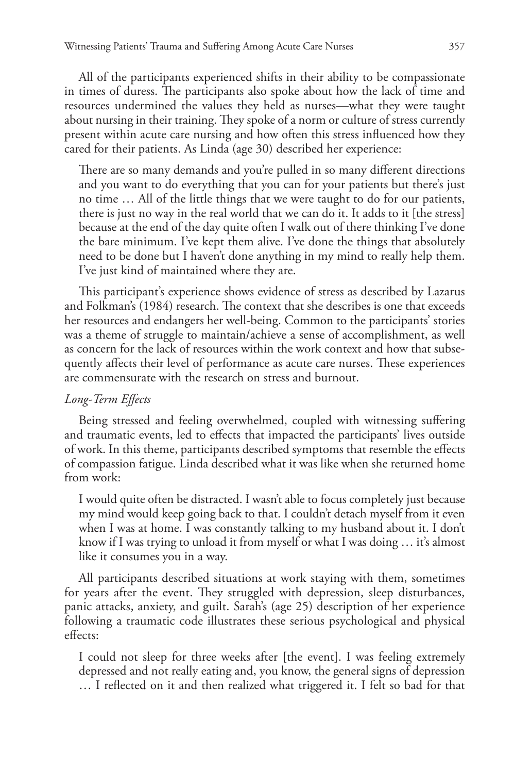All of the participants experienced shifts in their ability to be compassionate in times of duress. The participants also spoke about how the lack of time and resources undermined the values they held as nurses—what they were taught about nursing in their training. They spoke of a norm or culture of stress currently present within acute care nursing and how often this stress influenced how they cared for their patients. As Linda (age 30) described her experience:

There are so many demands and you're pulled in so many different directions and you want to do everything that you can for your patients but there's just no time … All of the little things that we were taught to do for our patients, there is just no way in the real world that we can do it. It adds to it [the stress] because at the end of the day quite often I walk out of there thinking I've done the bare minimum. I've kept them alive. I've done the things that absolutely need to be done but I haven't done anything in my mind to really help them. I've just kind of maintained where they are.

This participant's experience shows evidence of stress as described by Lazarus and Folkman's (1984) research. The context that she describes is one that exceeds her resources and endangers her well-being. Common to the participants' stories was a theme of struggle to maintain/achieve a sense of accomplishment, as well as concern for the lack of resources within the work context and how that subsequently affects their level of performance as acute care nurses. These experiences are commensurate with the research on stress and burnout.

# *Long-Term Effects*

Being stressed and feeling overwhelmed, coupled with witnessing suffering and traumatic events, led to effects that impacted the participants' lives outside of work. In this theme, participants described symptoms that resemble the effects of compassion fatigue. Linda described what it was like when she returned home from work:

I would quite often be distracted. I wasn't able to focus completely just because my mind would keep going back to that. I couldn't detach myself from it even when I was at home. I was constantly talking to my husband about it. I don't know if I was trying to unload it from myself or what I was doing … it's almost like it consumes you in a way.

All participants described situations at work staying with them, sometimes for years after the event. They struggled with depression, sleep disturbances, panic attacks, anxiety, and guilt. Sarah's (age 25) description of her experience following a traumatic code illustrates these serious psychological and physical effects:

I could not sleep for three weeks after [the event]. I was feeling extremely depressed and not really eating and, you know, the general signs of depression … I reflected on it and then realized what triggered it. I felt so bad for that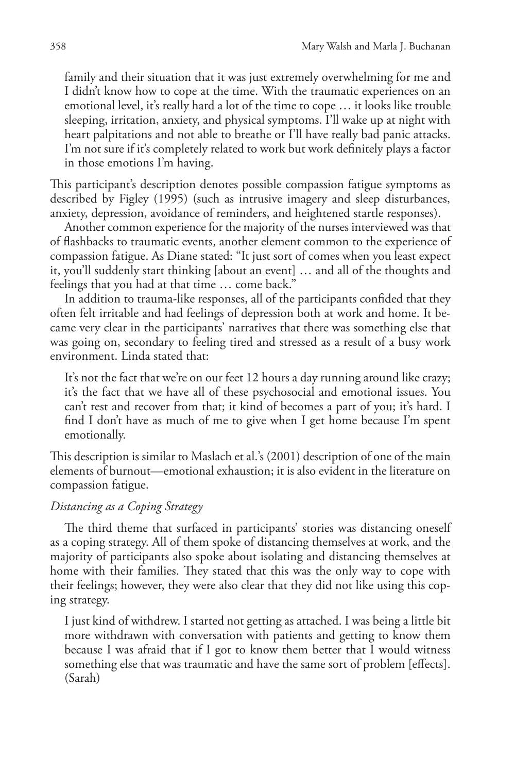family and their situation that it was just extremely overwhelming for me and I didn't know how to cope at the time. With the traumatic experiences on an emotional level, it's really hard a lot of the time to cope … it looks like trouble sleeping, irritation, anxiety, and physical symptoms. I'll wake up at night with heart palpitations and not able to breathe or I'll have really bad panic attacks. I'm not sure if it's completely related to work but work definitely plays a factor in those emotions I'm having.

This participant's description denotes possible compassion fatigue symptoms as described by Figley (1995) (such as intrusive imagery and sleep disturbances, anxiety, depression, avoidance of reminders, and heightened startle responses).

Another common experience for the majority of the nurses interviewed was that of flashbacks to traumatic events, another element common to the experience of compassion fatigue. As Diane stated: "It just sort of comes when you least expect it, you'll suddenly start thinking [about an event] … and all of the thoughts and feelings that you had at that time … come back."

In addition to trauma-like responses, all of the participants confided that they often felt irritable and had feelings of depression both at work and home. It became very clear in the participants' narratives that there was something else that was going on, secondary to feeling tired and stressed as a result of a busy work environment. Linda stated that:

It's not the fact that we're on our feet 12 hours a day running around like crazy; it's the fact that we have all of these psychosocial and emotional issues. You can't rest and recover from that; it kind of becomes a part of you; it's hard. I find I don't have as much of me to give when I get home because I'm spent emotionally.

This description is similar to Maslach et al.'s (2001) description of one of the main elements of burnout—emotional exhaustion; it is also evident in the literature on compassion fatigue.

# *Distancing as a Coping Strategy*

The third theme that surfaced in participants' stories was distancing oneself as a coping strategy. All of them spoke of distancing themselves at work, and the majority of participants also spoke about isolating and distancing themselves at home with their families. They stated that this was the only way to cope with their feelings; however, they were also clear that they did not like using this coping strategy.

I just kind of withdrew. I started not getting as attached. I was being a little bit more withdrawn with conversation with patients and getting to know them because I was afraid that if I got to know them better that I would witness something else that was traumatic and have the same sort of problem [effects]. (Sarah)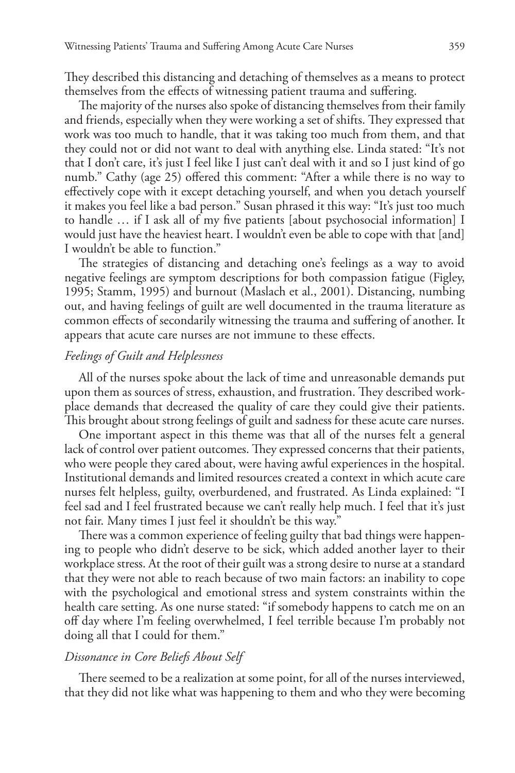They described this distancing and detaching of themselves as a means to protect themselves from the effects of witnessing patient trauma and suffering.

The majority of the nurses also spoke of distancing themselves from their family and friends, especially when they were working a set of shifts. They expressed that work was too much to handle, that it was taking too much from them, and that they could not or did not want to deal with anything else. Linda stated: "It's not that I don't care, it's just I feel like I just can't deal with it and so I just kind of go numb." Cathy (age 25) offered this comment: "After a while there is no way to effectively cope with it except detaching yourself, and when you detach yourself it makes you feel like a bad person." Susan phrased it this way: "It's just too much to handle … if I ask all of my five patients [about psychosocial information] I would just have the heaviest heart. I wouldn't even be able to cope with that [and] I wouldn't be able to function."

The strategies of distancing and detaching one's feelings as a way to avoid negative feelings are symptom descriptions for both compassion fatigue (Figley, 1995; Stamm, 1995) and burnout (Maslach et al., 2001). Distancing, numbing out, and having feelings of guilt are well documented in the trauma literature as common effects of secondarily witnessing the trauma and suffering of another. It appears that acute care nurses are not immune to these effects.

# *Feelings of Guilt and Helplessness*

All of the nurses spoke about the lack of time and unreasonable demands put upon them as sources of stress, exhaustion, and frustration. They described workplace demands that decreased the quality of care they could give their patients. This brought about strong feelings of guilt and sadness for these acute care nurses.

One important aspect in this theme was that all of the nurses felt a general lack of control over patient outcomes. They expressed concerns that their patients, who were people they cared about, were having awful experiences in the hospital. Institutional demands and limited resources created a context in which acute care nurses felt helpless, guilty, overburdened, and frustrated. As Linda explained: "I feel sad and I feel frustrated because we can't really help much. I feel that it's just not fair. Many times I just feel it shouldn't be this way."

There was a common experience of feeling guilty that bad things were happening to people who didn't deserve to be sick, which added another layer to their workplace stress. At the root of their guilt was a strong desire to nurse at a standard that they were not able to reach because of two main factors: an inability to cope with the psychological and emotional stress and system constraints within the health care setting. As one nurse stated: "if somebody happens to catch me on an off day where I'm feeling overwhelmed, I feel terrible because I'm probably not doing all that I could for them."

## *Dissonance in Core Beliefs About Self*

There seemed to be a realization at some point, for all of the nurses interviewed, that they did not like what was happening to them and who they were becoming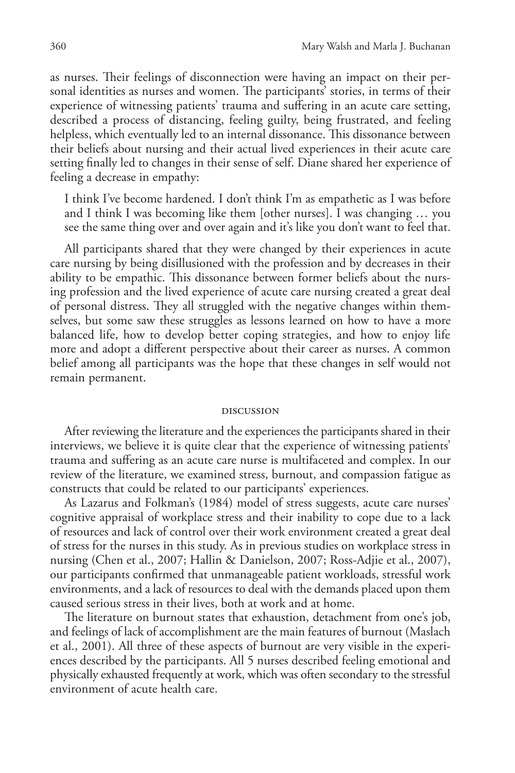as nurses. Their feelings of disconnection were having an impact on their personal identities as nurses and women. The participants' stories, in terms of their experience of witnessing patients' trauma and suffering in an acute care setting, described a process of distancing, feeling guilty, being frustrated, and feeling helpless, which eventually led to an internal dissonance. This dissonance between their beliefs about nursing and their actual lived experiences in their acute care setting finally led to changes in their sense of self. Diane shared her experience of feeling a decrease in empathy:

I think I've become hardened. I don't think I'm as empathetic as I was before and I think I was becoming like them [other nurses]. I was changing … you see the same thing over and over again and it's like you don't want to feel that.

All participants shared that they were changed by their experiences in acute care nursing by being disillusioned with the profession and by decreases in their ability to be empathic. This dissonance between former beliefs about the nursing profession and the lived experience of acute care nursing created a great deal of personal distress. They all struggled with the negative changes within themselves, but some saw these struggles as lessons learned on how to have a more balanced life, how to develop better coping strategies, and how to enjoy life more and adopt a different perspective about their career as nurses. A common belief among all participants was the hope that these changes in self would not remain permanent.

#### discussion

After reviewing the literature and the experiences the participants shared in their interviews, we believe it is quite clear that the experience of witnessing patients' trauma and suffering as an acute care nurse is multifaceted and complex. In our review of the literature, we examined stress, burnout, and compassion fatigue as constructs that could be related to our participants' experiences.

As Lazarus and Folkman's (1984) model of stress suggests, acute care nurses' cognitive appraisal of workplace stress and their inability to cope due to a lack of resources and lack of control over their work environment created a great deal of stress for the nurses in this study. As in previous studies on workplace stress in nursing (Chen et al., 2007; Hallin & Danielson, 2007; Ross-Adjie et al., 2007), our participants confirmed that unmanageable patient workloads, stressful work environments, and a lack of resources to deal with the demands placed upon them caused serious stress in their lives, both at work and at home.

The literature on burnout states that exhaustion, detachment from one's job, and feelings of lack of accomplishment are the main features of burnout (Maslach et al., 2001). All three of these aspects of burnout are very visible in the experiences described by the participants. All 5 nurses described feeling emotional and physically exhausted frequently at work, which was often secondary to the stressful environment of acute health care.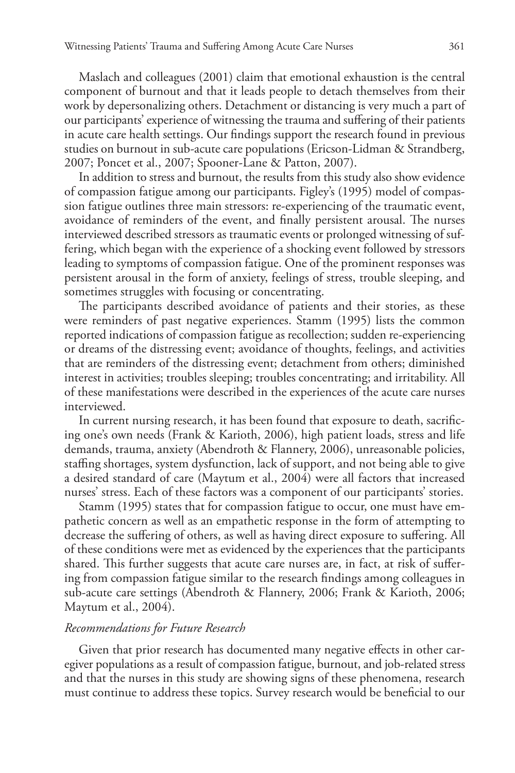Maslach and colleagues (2001) claim that emotional exhaustion is the central component of burnout and that it leads people to detach themselves from their work by depersonalizing others. Detachment or distancing is very much a part of our participants' experience of witnessing the trauma and suffering of their patients in acute care health settings. Our findings support the research found in previous studies on burnout in sub-acute care populations (Ericson-Lidman & Strandberg, 2007; Poncet et al., 2007; Spooner-Lane & Patton, 2007).

In addition to stress and burnout, the results from this study also show evidence of compassion fatigue among our participants. Figley's (1995) model of compassion fatigue outlines three main stressors: re-experiencing of the traumatic event, avoidance of reminders of the event, and finally persistent arousal. The nurses interviewed described stressors as traumatic events or prolonged witnessing of suffering, which began with the experience of a shocking event followed by stressors leading to symptoms of compassion fatigue. One of the prominent responses was persistent arousal in the form of anxiety, feelings of stress, trouble sleeping, and sometimes struggles with focusing or concentrating.

The participants described avoidance of patients and their stories, as these were reminders of past negative experiences. Stamm (1995) lists the common reported indications of compassion fatigue as recollection; sudden re-experiencing or dreams of the distressing event; avoidance of thoughts, feelings, and activities that are reminders of the distressing event; detachment from others; diminished interest in activities; troubles sleeping; troubles concentrating; and irritability. All of these manifestations were described in the experiences of the acute care nurses interviewed.

In current nursing research, it has been found that exposure to death, sacrificing one's own needs (Frank & Karioth, 2006), high patient loads, stress and life demands, trauma, anxiety (Abendroth & Flannery, 2006), unreasonable policies, staffing shortages, system dysfunction, lack of support, and not being able to give a desired standard of care (Maytum et al., 2004) were all factors that increased nurses' stress. Each of these factors was a component of our participants' stories.

Stamm (1995) states that for compassion fatigue to occur, one must have empathetic concern as well as an empathetic response in the form of attempting to decrease the suffering of others, as well as having direct exposure to suffering. All of these conditions were met as evidenced by the experiences that the participants shared. This further suggests that acute care nurses are, in fact, at risk of suffering from compassion fatigue similar to the research findings among colleagues in sub-acute care settings (Abendroth & Flannery, 2006; Frank & Karioth, 2006; Maytum et al., 2004).

## *Recommendations for Future Research*

Given that prior research has documented many negative effects in other caregiver populations as a result of compassion fatigue, burnout, and job-related stress and that the nurses in this study are showing signs of these phenomena, research must continue to address these topics. Survey research would be beneficial to our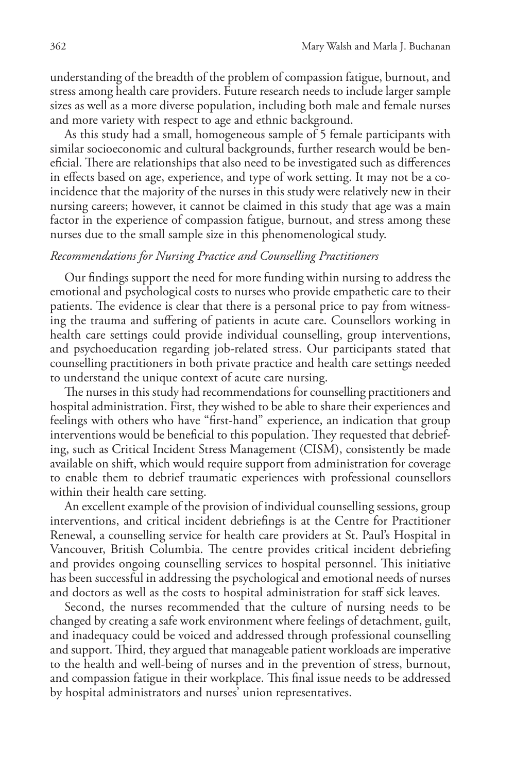understanding of the breadth of the problem of compassion fatigue, burnout, and stress among health care providers. Future research needs to include larger sample sizes as well as a more diverse population, including both male and female nurses and more variety with respect to age and ethnic background.

As this study had a small, homogeneous sample of 5 female participants with similar socioeconomic and cultural backgrounds, further research would be beneficial. There are relationships that also need to be investigated such as differences in effects based on age, experience, and type of work setting. It may not be a coincidence that the majority of the nurses in this study were relatively new in their nursing careers; however, it cannot be claimed in this study that age was a main factor in the experience of compassion fatigue, burnout, and stress among these nurses due to the small sample size in this phenomenological study.

# *Recommendations for Nursing Practice and Counselling Practitioners*

Our findings support the need for more funding within nursing to address the emotional and psychological costs to nurses who provide empathetic care to their patients. The evidence is clear that there is a personal price to pay from witnessing the trauma and suffering of patients in acute care. Counsellors working in health care settings could provide individual counselling, group interventions, and psychoeducation regarding job-related stress. Our participants stated that counselling practitioners in both private practice and health care settings needed to understand the unique context of acute care nursing.

The nurses in this study had recommendations for counselling practitioners and hospital administration. First, they wished to be able to share their experiences and feelings with others who have "first-hand" experience, an indication that group interventions would be beneficial to this population. They requested that debriefing, such as Critical Incident Stress Management (CISM), consistently be made available on shift, which would require support from administration for coverage to enable them to debrief traumatic experiences with professional counsellors within their health care setting.

An excellent example of the provision of individual counselling sessions, group interventions, and critical incident debriefings is at the Centre for Practitioner Renewal, a counselling service for health care providers at St. Paul's Hospital in Vancouver, British Columbia. The centre provides critical incident debriefing and provides ongoing counselling services to hospital personnel. This initiative has been successful in addressing the psychological and emotional needs of nurses and doctors as well as the costs to hospital administration for staff sick leaves.

Second, the nurses recommended that the culture of nursing needs to be changed by creating a safe work environment where feelings of detachment, guilt, and inadequacy could be voiced and addressed through professional counselling and support. Third, they argued that manageable patient workloads are imperative to the health and well-being of nurses and in the prevention of stress, burnout, and compassion fatigue in their workplace. This final issue needs to be addressed by hospital administrators and nurses' union representatives.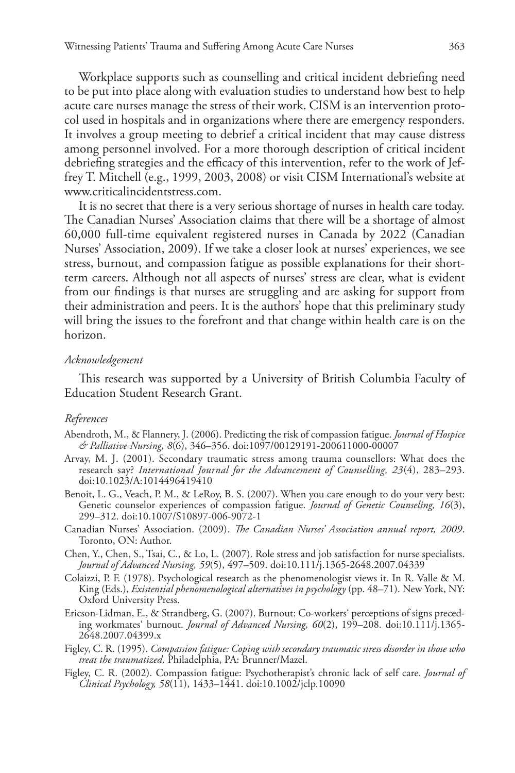Workplace supports such as counselling and critical incident debriefing need to be put into place along with evaluation studies to understand how best to help acute care nurses manage the stress of their work. CISM is an intervention protocol used in hospitals and in organizations where there are emergency responders. It involves a group meeting to debrief a critical incident that may cause distress among personnel involved. For a more thorough description of critical incident debriefing strategies and the efficacy of this intervention, refer to the work of Jeffrey T. Mitchell (e.g., 1999, 2003, 2008) or visit CISM International's website at www.criticalincidentstress.com.

It is no secret that there is a very serious shortage of nurses in health care today. The Canadian Nurses' Association claims that there will be a shortage of almost 60,000 full-time equivalent registered nurses in Canada by 2022 (Canadian Nurses' Association, 2009). If we take a closer look at nurses' experiences, we see stress, burnout, and compassion fatigue as possible explanations for their shortterm careers. Although not all aspects of nurses' stress are clear, what is evident from our findings is that nurses are struggling and are asking for support from their administration and peers. It is the authors' hope that this preliminary study will bring the issues to the forefront and that change within health care is on the horizon.

#### *Acknowledgement*

This research was supported by a University of British Columbia Faculty of Education Student Research Grant.

### *References*

- Abendroth, M., & Flannery, J. (2006). Predicting the risk of compassion fatigue. *Journal of Hospice & Palliative Nursing, 8*(6), 346–356. doi:1097/00129191-200611000-00007
- Arvay, M. J. (2001). Secondary traumatic stress among trauma counsellors: What does the research say? *International Journal for the Advancement of Counselling, 23*(4), 283–293. doi:10.1023/A:1014496419410
- Benoit, L. G., Veach, P. M., & LeRoy, B. S. (2007). When you care enough to do your very best: Genetic counselor experiences of compassion fatigue. *Journal of Genetic Counseling, 16*(3), 299–312. doi:10.1007/S10897-006-9072-1
- Canadian Nurses' Association. (2009). *The Canadian Nurses' Association annual report, 2009*. Toronto, ON: Author.
- Chen, Y., Chen, S., Tsai, C., & Lo, L. (2007). Role stress and job satisfaction for nurse specialists. *Journal of Advanced Nursing, 59*(5), 497–509. doi:10.111/j.1365-2648.2007.04339
- Colaizzi, P. F. (1978). Psychological research as the phenomenologist views it. In R. Valle & M. King (Eds.), *Existential phenomenological alternatives in psychology* (pp. 48–71). New York, NY: Oxford University Press.
- Ericson-Lidman, E., & Strandberg, G. (2007). Burnout: Co-workers' perceptions of signs preceding workmates' burnout. *Journal of Advanced Nursing, 60*(2), 199–208. doi:10.111/j.1365- 2648.2007.04399.x
- Figley, C. R. (1995). *Compassion fatigue: Coping with secondary traumatic stress disorder in those who treat the traumatized*. Philadelphia, PA: Brunner/Mazel.
- Figley, C. R. (2002). Compassion fatigue: Psychotherapist's chronic lack of self care. *Journal of Clinical Psychology, 58*(11), 1433–1441. doi:10.1002/jclp.10090